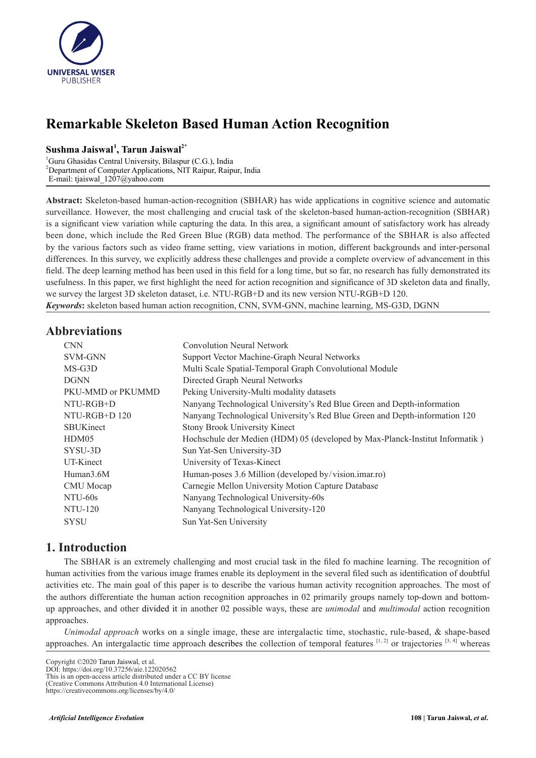

# **Remarkable Skeleton Based Human Action Recognition**

# **Sushma Jaiswal<sup>1</sup> , Tarun Jaiswal2\***

<sup>1</sup>Guru Ghasidas Central University, Bilaspur (C.G.), India <sup>2</sup>Department of Computer Applications, NIT Raipur, Raipur, India E-mail: [tjaiswal\\_1207@yahoo.com](mailto:tjaiswal_1207@yahoo.com)

**Abstract:** Skeleton-based human-action-recognition (SBHAR) has wide applications in cognitive science and automatic surveillance. However, the most challenging and crucial task of the skeleton-based human-action-recognition (SBHAR) is a significant view variation while capturing the data. In this area, a significant amount of satisfactory work has already been done, which include the Red Green Blue (RGB) data method. The performance of the SBHAR is also affected by the various factors such as video frame setting, view variations in motion, different backgrounds and inter-personal differences. In this survey, we explicitly address these challenges and provide a complete overview of advancement in this field. The deep learning method has been used in this field for a long time, but so far, no research has fully demonstrated its usefulness. In this paper, we first highlight the need for action recognition and significance of 3D skeleton data and finally, we survey the largest 3D skeleton dataset, i.e. NTU-RGB+D and its new version NTU-RGB+D 120. *Keywords***:** skeleton based human action recognition, CNN, SVM-GNN, machine learning, MS-G3D, DGNN

### **Abbreviations**

| <b>CNN</b>             | <b>Convolution Neural Network</b>                                            |
|------------------------|------------------------------------------------------------------------------|
| SVM-GNN                | Support Vector Machine-Graph Neural Networks                                 |
| $MS-G3D$               | Multi Scale Spatial-Temporal Graph Convolutional Module                      |
| <b>DGNN</b>            | Directed Graph Neural Networks                                               |
| PKU-MMD or PKUMMD      | Peking University-Multi modality datasets                                    |
| NTU-RGB+D              | Nanyang Technological University's Red Blue Green and Depth-information      |
| NTU-RGB+D 120          | Nanyang Technological University's Red Blue Green and Depth-information 120  |
| <b>SBUKinect</b>       | <b>Stony Brook University Kinect</b>                                         |
| HDM05                  | Hochschule der Medien (HDM) 05 (developed by Max-Planck-Institut Informatik) |
| SYSU-3D                | Sun Yat-Sen University-3D                                                    |
| UT-Kinect              | University of Texas-Kinect                                                   |
| Human <sub>3.6</sub> M | Human-poses 3.6 Million (developed by/vision.imar.ro)                        |
| CMU Mocap              | Carnegie Mellon University Motion Capture Database                           |
| NTU-60s                | Nanyang Technological University-60s                                         |
| NTU-120                | Nanyang Technological University-120                                         |
| <b>SYSU</b>            | Sun Yat-Sen University                                                       |

# **1. Introduction**

The SBHAR is an extremely challenging and most crucial task in the filed fo machine learning. The recognition of human activities from the various image frames enable its deployment in the several filed such as identification of doubtful activities etc. The main goal of this paper is to describe the various human activity recognition approaches. The most of the authors differentiate the human action recognition approaches in 02 primarily groups namely top-down and bottomup approaches, and other divided it in another 02 possible ways, these are *unimodal* and *multimodal* action recognition approaches.

*Unimodal approach* works on a single image, these are intergalactic time, stochastic, rule-based, & shape-based approaches. An intergalactic time approach describes the collection of temporal features  $[1, 2]$  or trajectories  $[3, 4]$  whereas

Copyright ©2020 Tarun Jaiswal, et al.

DOI: https://doi.org/10.37256/aie.122020562 This is an open-access article distributed under a CC BY license

<sup>(</sup>Creative Commons Attribution 4.0 International License)

https://creativecommons.org/licenses/by/4.0/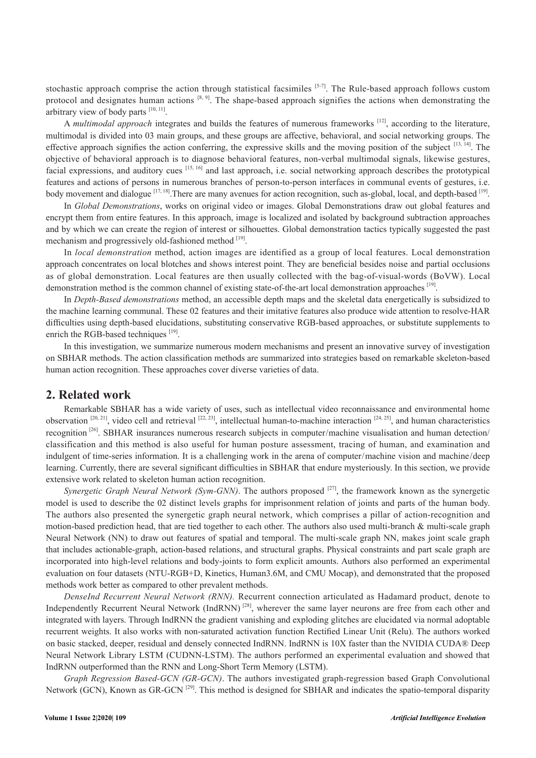stochastic approach comprise the action through statistical facsimiles [5-7]. The Rule-based approach follows custom protocol and designates human actions [8, 9]. The shape-based approach signifies the actions when demonstrating the arbitrary view of body parts [10, 11].

A *multimodal approach* integrates and builds the features of numerous frameworks [12], according to the literature, multimodal is divided into 03 main groups, and these groups are affective, behavioral, and social networking groups. The effective approach signifies the action conferring, the expressive skills and the moving position of the subject [13, 14]. The objective of behavioral approach is to diagnose behavioral features, non-verbal multimodal signals, likewise gestures, facial expressions, and auditory cues  $[15, 16]$  and last approach, i.e. social networking approach describes the prototypical features and actions of persons in numerous branches of person-to-person interfaces in communal events of gestures, i.e. body movement and dialogue [17, 18]. There are many avenues for action recognition, such as-global, local, and depth-based [19].

In *Global Demonstrations*, works on original video or images. Global Demonstrations draw out global features and encrypt them from entire features. In this approach, image is localized and isolated by background subtraction approaches and by which we can create the region of interest or silhouettes. Global demonstration tactics typically suggested the past mechanism and progressively old-fashioned method  $[19]$ .

In *local demonstration* method, action images are identified as a group of local features. Local demonstration approach concentrates on local blotches and shows interest point. They are beneficial besides noise and partial occlusions as of global demonstration. Local features are then usually collected with the bag-of-visual-words (BoVW). Local demonstration method is the common channel of existing state-of-the-art local demonstration approaches [19].

In *Depth-Based demonstrations* method, an accessible depth maps and the skeletal data energetically is subsidized to the machine learning communal. These 02 features and their imitative features also produce wide attention to resolve-HAR difficulties using depth-based elucidations, substituting conservative RGB-based approaches, or substitute supplements to enrich the RGB-based techniques  $[19]$ .

In this investigation, we summarize numerous modern mechanisms and present an innovative survey of investigation on SBHAR methods. The action classification methods are summarized into strategies based on remarkable skeleton-based human action recognition. These approaches cover diverse varieties of data.

#### **2. Related work**

Remarkable SBHAR has a wide variety of uses, such as intellectual video reconnaissance and environmental home observation  $[20, 21]$ , video cell and retrieval  $[22, 23]$ , intellectual human-to-machine interaction  $[24, 25]$ , and human characteristics recognition <sup>[26]</sup>. SBHAR insurances numerous research subjects in computer/machine visualisation and human detection/ classification and this method is also useful for human posture assessment, tracing of human, and examination and indulgent of time-series information. It is a challenging work in the arena of computer/machine vision and machine/deep learning. Currently, there are several significant difficulties in SBHAR that endure mysteriously. In this section, we provide extensive work related to skeleton human action recognition.

*Synergetic Graph Neural Network (Sym-GNN)*. The authors proposed <sup>[27]</sup>, the framework known as the synergetic model is used to describe the 02 distinct levels graphs for imprisonment relation of joints and parts of the human body. The authors also presented the synergetic graph neural network, which comprises a pillar of action-recognition and motion-based prediction head, that are tied together to each other. The authors also used multi-branch & multi-scale graph Neural Network (NN) to draw out features of spatial and temporal. The multi-scale graph NN, makes joint scale graph that includes actionable-graph, action-based relations, and structural graphs. Physical constraints and part scale graph are incorporated into high-level relations and body-joints to form explicit amounts. Authors also performed an experimental evaluation on four datasets (NTU-RGB+D, Kinetics, Human3.6M, and CMU Mocap), and demonstrated that the proposed methods work better as compared to other prevalent methods.

*DenseInd Recurrent Neural Network (RNN).* Recurrent connection articulated as Hadamard product, denote to Independently Recurrent Neural Network (IndRNN)<sup>[28]</sup>, wherever the same layer neurons are free from each other and integrated with layers. Through IndRNN the gradient vanishing and exploding glitches are elucidated via normal adoptable recurrent weights. It also works with non-saturated activation function Rectified Linear Unit (Relu). The authors worked on basic stacked, deeper, residual and densely connected IndRNN. IndRNN is 10X faster than the NVIDIA CUDA® Deep Neural Network Library LSTM (CUDNN-LSTM). The authors performed an experimental evaluation and showed that IndRNN outperformed than the RNN and Long-Short Term Memory (LSTM).

*Graph Regression Based-GCN (GR-GCN)*. The authors investigated graph-regression based Graph Convolutional Network (GCN), Known as GR-GCN<sup>[29]</sup>. This method is designed for SBHAR and indicates the spatio-temporal disparity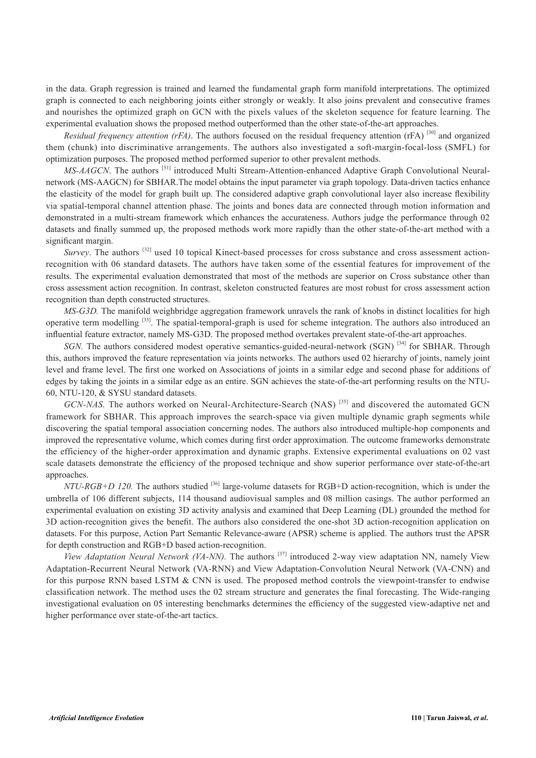in the data. Graph regression is trained and learned the fundamental graph form manifold interpretations. The optimized graph is connected to each neighboring joints either strongly or weakly. It also joins prevalent and consecutive frames and nourishes the optimized graph on GCN with the pixels values of the skeleton sequence for feature learning. The experimental evaluation shows the proposed method outperformed than the other state-of-the-art approaches.

*Residual frequency attention (rFA)*. The authors focused on the residual frequency attention (rFA) <sup>[30]</sup> and organized them (chunk) into discriminative arrangements. The authors also investigated a soft-margin-focal-loss (SMFL) for optimization purposes. The proposed method performed superior to other prevalent methods.

*MS-AAGCN*. The authors<sup>[31]</sup> introduced Multi Stream-Attention-enhanced Adaptive Graph Convolutional Neuralnetwork (MS-AAGCN) for SBHAR.The model obtains the input parameter via graph topology. Data-driven tactics enhance the elasticity of the model for graph built up. The considered adaptive graph convolutional layer also increase flexibility via spatial-temporal channel attention phase. The joints and bones data are connected through motion information and demonstrated in a multi-stream framework which enhances the accurateness. Authors judge the performance through 02 datasets and finally summed up, the proposed methods work more rapidly than the other state-of-the-art method with a significant margin.

*Survey*. The authors <sup>[32]</sup> used 10 topical Kinect-based processes for cross substance and cross assessment actionrecognition with 06 standard datasets. The authors have taken some of the essential features for improvement of the results. The experimental evaluation demonstrated that most of the methods are superior on Cross substance other than cross assessment action recognition. In contrast, skeleton constructed features are most robust for cross assessment action recognition than depth constructed structures.

*MS-G3D.* The manifold weighbridge aggregation framework unravels the rank of knobs in distinct localities for high operative term modelling <sup>[33]</sup>. The spatial-temporal-graph is used for scheme integration. The authors also introduced an influential feature extractor, namely MS-G3D. The proposed method overtakes prevalent state-of-the-art approaches.

*SGN*. The authors considered modest operative semantics-guided-neural-network (SGN)<sup>[34]</sup> for SBHAR. Through this, authors improved the feature representation via joints networks. The authors used 02 hierarchy of joints, namely joint level and frame level. The first one worked on Associations of joints in a similar edge and second phase for additions of edges by taking the joints in a similar edge as an entire. SGN achieves the state-of-the-art performing results on the NTU-60, NTU-120, & SYSU standard datasets.

*GCN-NAS*. The authors worked on Neural-Architecture-Search (NAS)<sup>[35]</sup> and discovered the automated GCN framework for SBHAR. This approach improves the search-space via given multiple dynamic graph segments while discovering the spatial temporal association concerning nodes. The authors also introduced multiple-hop components and improved the representative volume, which comes during first order approximation. The outcome frameworks demonstrate the efficiency of the higher-order approximation and dynamic graphs. Extensive experimental evaluations on 02 vast scale datasets demonstrate the efficiency of the proposed technique and show superior performance over state-of-the-art approaches.

*NTU-RGB+D 120.* The authors studied <sup>[36]</sup> large-volume datasets for RGB+D action-recognition, which is under the umbrella of 106 different subjects, 114 thousand audiovisual samples and 08 million casings. The author performed an experimental evaluation on existing 3D activity analysis and examined that Deep Learning (DL) grounded the method for 3D action-recognition gives the benefit. The authors also considered the one-shot 3D action-recognition application on datasets. For this purpose, Action Part Semantic Relevance-aware (APSR) scheme is applied. The authors trust the APSR for depth construction and RGB+D based action-recognition.

*View Adaptation Neural Network (VA-NN)*. The authors <sup>[37]</sup> introduced 2-way view adaptation NN, namely View Adaptation-Recurrent Neural Network (VA-RNN) and View Adaptation-Convolution Neural Network (VA-CNN) and for this purpose RNN based LSTM & CNN is used. The proposed method controls the viewpoint-transfer to endwise classification network. The method uses the 02 stream structure and generates the final forecasting. The Wide-ranging investigational evaluation on 05 interesting benchmarks determines the efficiency of the suggested view-adaptive net and higher performance over state-of-the-art tactics.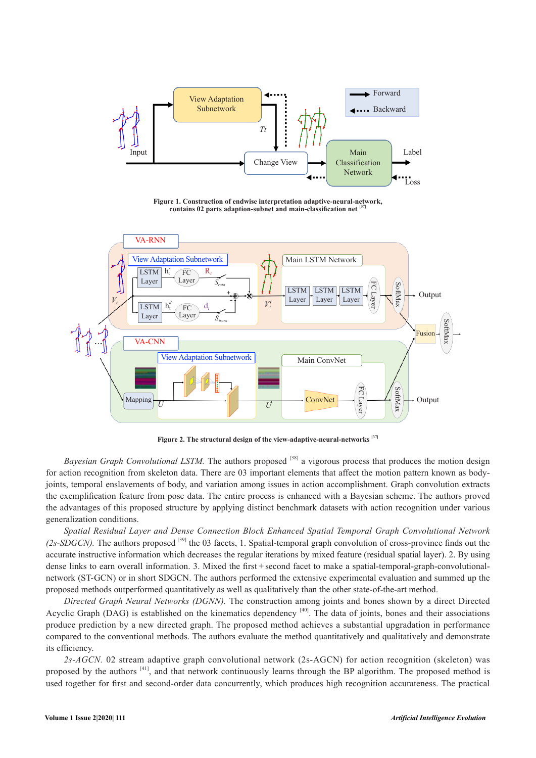

**Figure 1. Construction of endwise interpretation adaptive-neural-network, contains 02 parts adaption-subnet and main-classification net [37]**



**Figure 2. The structural design of the view-adaptive-neural-networks [37]**

*Bayesian Graph Convolutional LSTM.* The authors proposed <sup>[38]</sup> a vigorous process that produces the motion design for action recognition from skeleton data. There are 03 important elements that affect the motion pattern known as bodyjoints, temporal enslavements of body, and variation among issues in action accomplishment. Graph convolution extracts the exemplification feature from pose data. The entire process is enhanced with a Bayesian scheme. The authors proved the advantages of this proposed structure by applying distinct benchmark datasets with action recognition under various generalization conditions.

*Spatial Residual Layer and Dense Connection Block Enhanced Spatial Temporal Graph Convolutional Network (2s-SDGCN).* The authors proposed [39] the 03 facets, 1. Spatial-temporal graph convolution of cross-province finds out the accurate instructive information which decreases the regular iterations by mixed feature (residual spatial layer). 2. By using dense links to earn overall information. 3. Mixed the first + second facet to make a spatial-temporal-graph-convolutionalnetwork (ST-GCN) or in short SDGCN. The authors performed the extensive experimental evaluation and summed up the proposed methods outperformed quantitatively as well as qualitatively than the other state-of-the-art method.

*Directed Graph Neural Networks (DGNN).* The construction among joints and bones shown by a direct Directed Acyclic Graph (DAG) is established on the kinematics dependency  $[40]$ . The data of joints, bones and their associations produce prediction by a new directed graph. The proposed method achieves a substantial upgradation in performance compared to the conventional methods. The authors evaluate the method quantitatively and qualitatively and demonstrate its efficiency.

*2s-AGCN.* 02 stream adaptive graph convolutional network (2s-AGCN) for action recognition (skeleton) was proposed by the authors [41], and that network continuously learns through the BP algorithm. The proposed method is used together for first and second-order data concurrently, which produces high recognition accurateness. The practical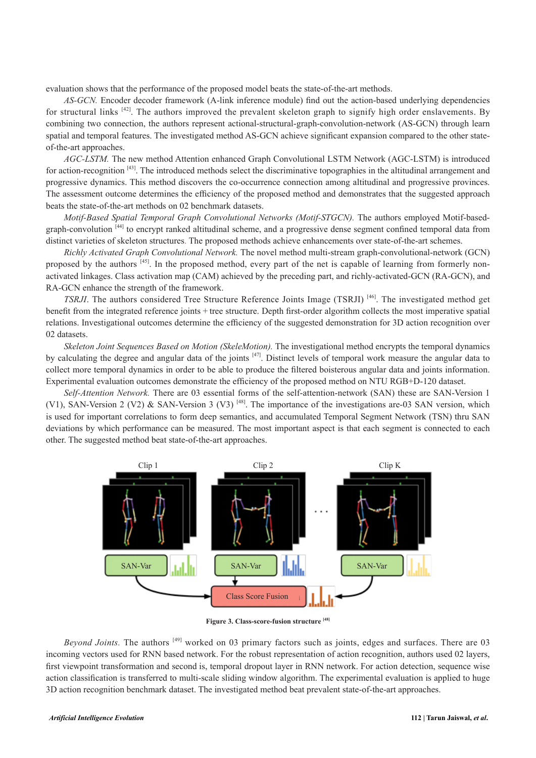evaluation shows that the performance of the proposed model beats the state-of-the-art methods.

*AS-GCN.* Encoder decoder framework (A-link inference module) find out the action-based underlying dependencies for structural links [42]. The authors improved the prevalent skeleton graph to signify high order enslavements. By combining two connection, the authors represent actional-structural-graph-convolution-network (AS-GCN) through learn spatial and temporal features. The investigated method AS-GCN achieve significant expansion compared to the other stateof-the-art approaches.

*AGC-LSTM.* The new method Attention enhanced Graph Convolutional LSTM Network (AGC-LSTM) is introduced for action-recognition [43]. The introduced methods select the discriminative topographies in the altitudinal arrangement and progressive dynamics. This method discovers the co-occurrence connection among altitudinal and progressive provinces. The assessment outcome determines the efficiency of the proposed method and demonstrates that the suggested approach beats the state-of-the-art methods on 02 benchmark datasets.

*Motif-Based Spatial Temporal Graph Convolutional Networks (Motif-STGCN).* The authors employed Motif-basedgraph-convolution [44] to encrypt ranked altitudinal scheme, and a progressive dense segment confined temporal data from distinct varieties of skeleton structures. The proposed methods achieve enhancements over state-of-the-art schemes.

*Richly Activated Graph Convolutional Network.* The novel method multi-stream graph-convolutional-network (GCN) proposed by the authors <sup>[45]</sup>. In the proposed method, every part of the net is capable of learning from formerly nonactivated linkages. Class activation map (CAM) achieved by the preceding part, and richly-activated-GCN (RA-GCN), and RA-GCN enhance the strength of the framework.

*TSRJI*. The authors considered Tree Structure Reference Joints Image (TSRJI)<sup>[46]</sup>. The investigated method get benefit from the integrated reference joints + tree structure. Depth first-order algorithm collects the most imperative spatial relations. Investigational outcomes determine the efficiency of the suggested demonstration for 3D action recognition over 02 datasets.

*Skeleton Joint Sequences Based on Motion (SkeleMotion).* The investigational method encrypts the temporal dynamics by calculating the degree and angular data of the joints [47]. Distinct levels of temporal work measure the angular data to collect more temporal dynamics in order to be able to produce the filtered boisterous angular data and joints information. Experimental evaluation outcomes demonstrate the efficiency of the proposed method on NTU RGB+D-120 dataset.

*Self-Attention Network.* There are 03 essential forms of the self-attention-network (SAN) these are SAN-Version 1 (V1), SAN-Version 2 (V2) & SAN-Version 3 (V3)  $^{[48]}$ . The importance of the investigations are-03 SAN version, which is used for important correlations to form deep semantics, and accumulated Temporal Segment Network (TSN) thru SAN deviations by which performance can be measured. The most important aspect is that each segment is connected to each other. The suggested method beat state-of-the-art approaches.



**Figure 3. Class-score-fusion structure [48]**

*Beyond Joints*. The authors <sup>[49]</sup> worked on 03 primary factors such as joints, edges and surfaces. There are 03 incoming vectors used for RNN based network. For the robust representation of action recognition, authors used 02 layers, first viewpoint transformation and second is, temporal dropout layer in RNN network. For action detection, sequence wise action classification is transferred to multi-scale sliding window algorithm. The experimental evaluation is applied to huge 3D action recognition benchmark dataset. The investigated method beat prevalent state-of-the-art approaches.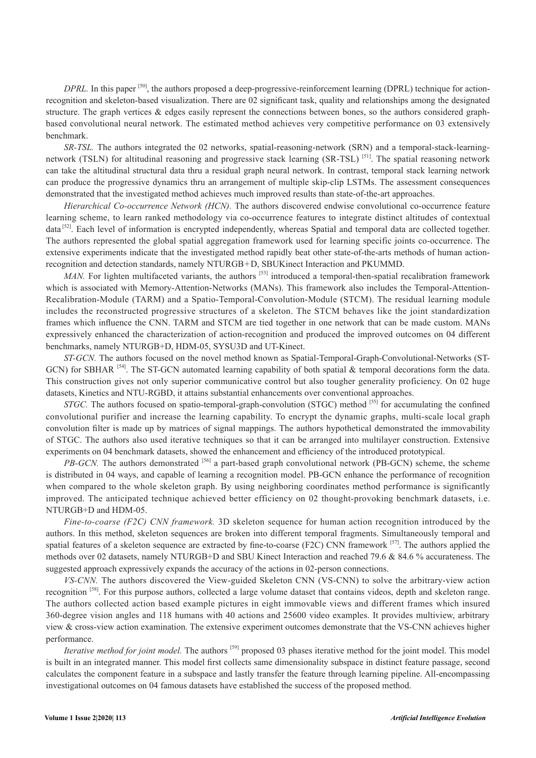*DPRL*. In this paper <sup>[50]</sup>, the authors proposed a deep-progressive-reinforcement learning (DPRL) technique for actionrecognition and skeleton-based visualization. There are 02 significant task, quality and relationships among the designated structure. The graph vertices & edges easily represent the connections between bones, so the authors considered graphbased convolutional neural network. The estimated method achieves very competitive performance on 03 extensively benchmark.

*SR-TSL.* The authors integrated the 02 networks, spatial-reasoning-network (SRN) and a temporal-stack-learningnetwork (TSLN) for altitudinal reasoning and progressive stack learning (SR-TSL) <sup>[51]</sup>. The spatial reasoning network can take the altitudinal structural data thru a residual graph neural network. In contrast, temporal stack learning network can produce the progressive dynamics thru an arrangement of multiple skip-clip LSTMs. The assessment consequences demonstrated that the investigated method achieves much improved results than state-of-the-art approaches.

*Hierarchical Co-occurrence Network (HCN).* The authors discovered endwise convolutional co-occurrence feature learning scheme, to learn ranked methodology via co-occurrence features to integrate distinct altitudes of contextual data<sup>[52]</sup>. Each level of information is encrypted independently, whereas Spatial and temporal data are collected together. The authors represented the global spatial aggregation framework used for learning specific joints co-occurrence. The extensive experiments indicate that the investigated method rapidly beat other state-of-the-arts methods of human actionrecognition and detection standards, namely NTURGB+D, SBUKinect Interaction and PKUMMD.

*MAN*. For lighten multifaceted variants, the authors <sup>[53]</sup> introduced a temporal-then-spatial recalibration framework which is associated with Memory-Attention-Networks (MANs). This framework also includes the Temporal-Attention-Recalibration-Module (TARM) and a Spatio-Temporal-Convolution-Module (STCM). The residual learning module includes the reconstructed progressive structures of a skeleton. The STCM behaves like the joint standardization frames which influence the CNN. TARM and STCM are tied together in one network that can be made custom. MANs expressively enhanced the characterization of action-recognition and produced the improved outcomes on 04 different benchmarks, namely NTURGB+D, HDM-05, SYSU3D and UT-Kinect.

*ST-GCN.* The authors focused on the novel method known as Spatial-Temporal-Graph-Convolutional-Networks (ST-GCN) for SBHAR <sup>[54]</sup>. The ST-GCN automated learning capability of both spatial & temporal decorations form the data. This construction gives not only superior communicative control but also tougher generality proficiency. On 02 huge datasets, Kinetics and NTU-RGBD, it attains substantial enhancements over conventional approaches.

*STGC*. The authors focused on spatio-temporal-graph-convolution (STGC) method <sup>[55]</sup> for accumulating the confined convolutional purifier and increase the learning capability. To encrypt the dynamic graphs, multi-scale local graph convolution filter is made up by matrices of signal mappings. The authors hypothetical demonstrated the immovability of STGC. The authors also used iterative techniques so that it can be arranged into multilayer construction. Extensive experiments on 04 benchmark datasets, showed the enhancement and efficiency of the introduced prototypical.

*PB-GCN*. The authors demonstrated <sup>[56]</sup> a part-based graph convolutional network (PB-GCN) scheme, the scheme is distributed in 04 ways, and capable of learning a recognition model. PB-GCN enhance the performance of recognition when compared to the whole skeleton graph. By using neighboring coordinates method performance is significantly improved. The anticipated technique achieved better efficiency on 02 thought-provoking benchmark datasets, i.e. NTURGB+D and HDM-05.

*Fine-to-coarse (F2C) CNN framework.* 3D skeleton sequence for human action recognition introduced by the authors. In this method, skeleton sequences are broken into different temporal fragments. Simultaneously temporal and spatial features of a skeleton sequence are extracted by fine-to-coarse (F2C) CNN framework [57]. The authors applied the methods over 02 datasets, namely NTURGB+D and SBU Kinect Interaction and reached 79.6 & 84.6 % accurateness. The suggested approach expressively expands the accuracy of the actions in 02-person connections.

*VS-CNN.* The authors discovered the View-guided Skeleton CNN (VS-CNN) to solve the arbitrary-view action recognition <sup>[58]</sup>. For this purpose authors, collected a large volume dataset that contains videos, depth and skeleton range. The authors collected action based example pictures in eight immovable views and different frames which insured 360-degree vision angles and 118 humans with 40 actions and 25600 video examples. It provides multiview, arbitrary view & cross-view action examination. The extensive experiment outcomes demonstrate that the VS-CNN achieves higher performance.

*Iterative method for joint model*. The authors <sup>[59]</sup> proposed 03 phases iterative method for the joint model. This model is built in an integrated manner. This model first collects same dimensionality subspace in distinct feature passage, second calculates the component feature in a subspace and lastly transfer the feature through learning pipeline. All-encompassing investigational outcomes on 04 famous datasets have established the success of the proposed method.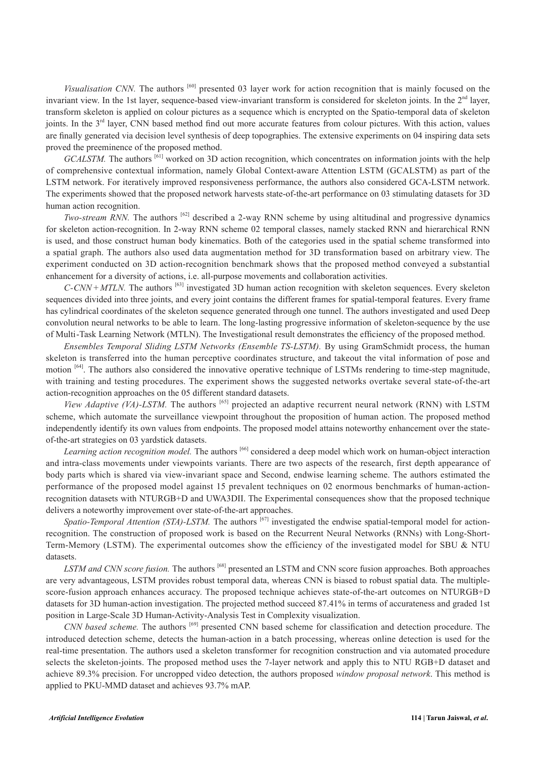*Visualisation CNN*. The authors <sup>[60]</sup> presented 03 layer work for action recognition that is mainly focused on the invariant view. In the 1st layer, sequence-based view-invariant transform is considered for skeleton joints. In the 2<sup>nd</sup> layer, transform skeleton is applied on colour pictures as a sequence which is encrypted on the Spatio-temporal data of skeleton joints. In the  $3<sup>rd</sup>$  layer, CNN based method find out more accurate features from colour pictures. With this action, values are finally generated via decision level synthesis of deep topographies. The extensive experiments on 04 inspiring data sets proved the preeminence of the proposed method.

*GCALSTM.* The authors [61] worked on 3D action recognition, which concentrates on information joints with the help of comprehensive contextual information, namely Global Context-aware Attention LSTM (GCALSTM) as part of the LSTM network. For iteratively improved responsiveness performance, the authors also considered GCA-LSTM network. The experiments showed that the proposed network harvests state-of-the-art performance on 03 stimulating datasets for 3D human action recognition.

*Two-stream RNN*. The authors <sup>[62]</sup> described a 2-way RNN scheme by using altitudinal and progressive dynamics for skeleton action-recognition. In 2-way RNN scheme 02 temporal classes, namely stacked RNN and hierarchical RNN is used, and those construct human body kinematics. Both of the categories used in the spatial scheme transformed into a spatial graph. The authors also used data augmentation method for 3D transformation based on arbitrary view. The experiment conducted on 3D action-recognition benchmark shows that the proposed method conveyed a substantial enhancement for a diversity of actions, i.e. all-purpose movements and collaboration activities.

*C-CNN + MTLN.* The authors [63] investigated 3D human action recognition with skeleton sequences. Every skeleton sequences divided into three joints, and every joint contains the different frames for spatial-temporal features. Every frame has cylindrical coordinates of the skeleton sequence generated through one tunnel. The authors investigated and used Deep convolution neural networks to be able to learn. The long-lasting progressive information of skeleton-sequence by the use of Multi-Task Learning Network (MTLN). The Investigational result demonstrates the efficiency of the proposed method.

*Ensembles Temporal Sliding LSTM Networks (Ensemble TS-LSTM).* By using GramSchmidt process, the human skeleton is transferred into the human perceptive coordinates structure, and takeout the vital information of pose and motion <sup>[64]</sup>. The authors also considered the innovative operative technique of LSTMs rendering to time-step magnitude, with training and testing procedures. The experiment shows the suggested networks overtake several state-of-the-art action-recognition approaches on the 05 different standard datasets.

*View Adaptive (VA)-LSTM*. The authors <sup>[65]</sup> projected an adaptive recurrent neural network (RNN) with LSTM scheme, which automate the surveillance viewpoint throughout the proposition of human action. The proposed method independently identify its own values from endpoints. The proposed model attains noteworthy enhancement over the stateof-the-art strategies on 03 yardstick datasets.

Learning action recognition model. The authors <sup>[66]</sup> considered a deep model which work on human-object interaction and intra-class movements under viewpoints variants. There are two aspects of the research, first depth appearance of body parts which is shared via view-invariant space and Second, endwise learning scheme. The authors estimated the performance of the proposed model against 15 prevalent techniques on 02 enormous benchmarks of human-actionrecognition datasets with NTURGB+D and UWA3DII. The Experimental consequences show that the proposed technique delivers a noteworthy improvement over state-of-the-art approaches.

*Spatio-Temporal Attention (STA)-LSTM.* The authors <sup>[67]</sup> investigated the endwise spatial-temporal model for actionrecognition. The construction of proposed work is based on the Recurrent Neural Networks (RNNs) with Long-Short-Term-Memory (LSTM). The experimental outcomes show the efficiency of the investigated model for SBU & NTU datasets.

*LSTM and CNN score fusion.* The authors [68] presented an LSTM and CNN score fusion approaches. Both approaches are very advantageous, LSTM provides robust temporal data, whereas CNN is biased to robust spatial data. The multiplescore-fusion approach enhances accuracy. The proposed technique achieves state-of-the-art outcomes on NTURGB+D datasets for 3D human-action investigation. The projected method succeed 87.41% in terms of accurateness and graded 1st position in Large-Scale 3D Human-Activity-Analysis Test in Complexity visualization.

*CNN based scheme*. The authors <sup>[69]</sup> presented CNN based scheme for classification and detection procedure. The introduced detection scheme, detects the human-action in a batch processing, whereas online detection is used for the real-time presentation. The authors used a skeleton transformer for recognition construction and via automated procedure selects the skeleton-joints. The proposed method uses the 7-layer network and apply this to NTU RGB+D dataset and achieve 89.3% precision. For uncropped video detection, the authors proposed *window proposal network*. This method is applied to PKU-MMD dataset and achieves 93.7% mAP.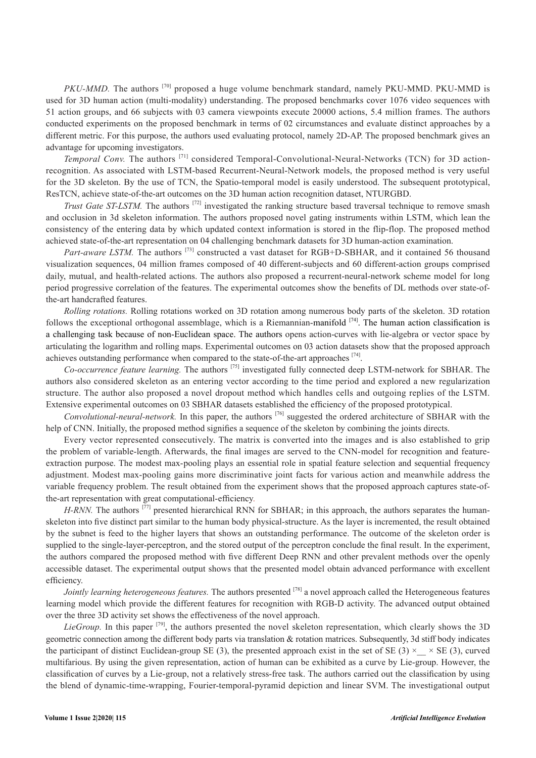*PKU-MMD*. The authors <sup>[70]</sup> proposed a huge volume benchmark standard, namely PKU-MMD, PKU-MMD is used for 3D human action (multi-modality) understanding. The proposed benchmarks cover 1076 video sequences with 51 action groups, and 66 subjects with 03 camera viewpoints execute 20000 actions, 5.4 million frames. The authors conducted experiments on the proposed benchmark in terms of 02 circumstances and evaluate distinct approaches by a different metric. For this purpose, the authors used evaluating protocol, namely 2D-AP. The proposed benchmark gives an advantage for upcoming investigators.

*Temporal Conv.* The authors <sup>[71]</sup> considered Temporal-Convolutional-Neural-Networks (TCN) for 3D actionrecognition. As associated with LSTM-based Recurrent-Neural-Network models, the proposed method is very useful for the 3D skeleton. By the use of TCN, the Spatio-temporal model is easily understood. The subsequent prototypical, ResTCN, achieve state-of-the-art outcomes on the 3D human action recognition dataset, NTURGBD.

*Trust Gate ST-LSTM*. The authors <sup>[72]</sup> investigated the ranking structure based traversal technique to remove smash and occlusion in 3d skeleton information. The authors proposed novel gating instruments within LSTM, which lean the consistency of the entering data by which updated context information is stored in the flip-flop. The proposed method achieved state-of-the-art representation on 04 challenging benchmark datasets for 3D human-action examination.

*Part-aware LSTM.* The authors <sup>[73]</sup> constructed a vast dataset for RGB+D-SBHAR, and it contained 56 thousand visualization sequences, 04 million frames composed of 40 different-subjects and 60 different-action groups comprised daily, mutual, and health-related actions. The authors also proposed a recurrent-neural-network scheme model for long period progressive correlation of the features. The experimental outcomes show the benefits of DL methods over state-ofthe-art handcrafted features.

*Rolling rotations.* Rolling rotations worked on 3D rotation among numerous body parts of the skeleton. 3D rotation follows the exceptional orthogonal assemblage, which is a Riemannian-manifold  $^{[74]}$ . The human action classification is a challenging task because of non-Euclidean space. The authors opens action-curves with lie-algebra or vector space by articulating the logarithm and rolling maps. Experimental outcomes on 03 action datasets show that the proposed approach achieves outstanding performance when compared to the state-of-the-art approaches [74].

*Co-occurrence feature learning.* The authors [75] investigated fully connected deep LSTM-network for SBHAR. The authors also considered skeleton as an entering vector according to the time period and explored a new regularization structure. The author also proposed a novel dropout method which handles cells and outgoing replies of the LSTM. Extensive experimental outcomes on 03 SBHAR datasets established the efficiency of the proposed prototypical.

*Convolutional-neural-network.* In this paper, the authors [76] suggested the ordered architecture of SBHAR with the help of CNN. Initially, the proposed method signifies a sequence of the skeleton by combining the joints directs.

Every vector represented consecutively. The matrix is converted into the images and is also established to grip the problem of variable-length. Afterwards, the final images are served to the CNN-model for recognition and featureextraction purpose. The modest max-pooling plays an essential role in spatial feature selection and sequential frequency adjustment. Modest max-pooling gains more discriminative joint facts for various action and meanwhile address the variable frequency problem. The result obtained from the experiment shows that the proposed approach captures state-ofthe-art representation with great computational-efficiency.

*H-RNN*. The authors <sup>[77]</sup> presented hierarchical RNN for SBHAR; in this approach, the authors separates the humanskeleton into five distinct part similar to the human body physical-structure. As the layer is incremented, the result obtained by the subnet is feed to the higher layers that shows an outstanding performance. The outcome of the skeleton order is supplied to the single-layer-perceptron, and the stored output of the perceptron conclude the final result. In the experiment, the authors compared the proposed method with five different Deep RNN and other prevalent methods over the openly accessible dataset. The experimental output shows that the presented model obtain advanced performance with excellent efficiency.

*Jointly learning heterogeneous features*. The authors presented <sup>[78]</sup> a novel approach called the Heterogeneous features learning model which provide the different features for recognition with RGB-D activity. The advanced output obtained over the three 3D activity set shows the effectiveness of the novel approach.

*LieGroup.* In this paper [79], the authors presented the novel skeleton representation, which clearly shows the 3D geometric connection among the different body parts via translation  $\&$  rotation matrices. Subsequently, 3d stiff body indicates the participant of distinct Euclidean-group SE (3), the presented approach exist in the set of SE (3)  $\times$   $\times$  SE (3), curved multifarious. By using the given representation, action of human can be exhibited as a curve by Lie-group. However, the classification of curves by a Lie-group, not a relatively stress-free task. The authors carried out the classification by using the blend of dynamic-time-wrapping, Fourier-temporal-pyramid depiction and linear SVM. The investigational output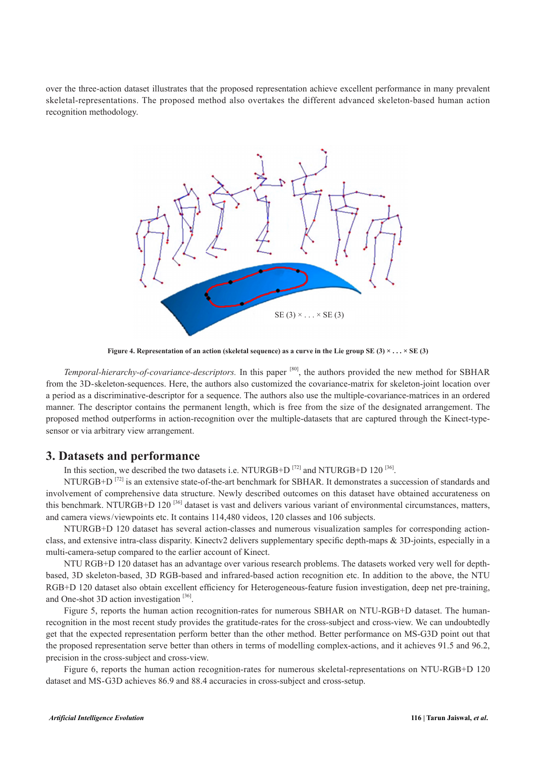over the three-action dataset illustrates that the proposed representation achieve excellent performance in many prevalent skeletal-representations. The proposed method also overtakes the different advanced skeleton-based human action recognition methodology.



**Figure 4. Representation of an action (skeletal sequence) as a curve in the Lie group SE (3) × . . . × SE (3)**

*Temporal-hierarchy-of-covariance-descriptors.* In this paper <sup>[80]</sup>, the authors provided the new method for SBHAR from the 3D-skeleton-sequences. Here, the authors also customized the covariance-matrix for skeleton-joint location over a period as a discriminative-descriptor for a sequence. The authors also use the multiple-covariance-matrices in an ordered manner. The descriptor contains the permanent length, which is free from the size of the designated arrangement. The proposed method outperforms in action-recognition over the multiple-datasets that are captured through the Kinect-typesensor or via arbitrary view arrangement.

#### **3. Datasets and performance**

In this section, we described the two datasets i.e. NTURGB+D  $^{[72]}$  and NTURGB+D 120  $^{[36]}$ .

NTURGB+D<sup>[72]</sup> is an extensive state-of-the-art benchmark for SBHAR. It demonstrates a succession of standards and involvement of comprehensive data structure. Newly described outcomes on this dataset have obtained accurateness on this benchmark. NTURGB+D 120<sup>[36]</sup> dataset is vast and delivers various variant of environmental circumstances, matters, and camera views/viewpoints etc. It contains 114,480 videos, 120 classes and 106 subjects.

NTURGB+D 120 dataset has several action-classes and numerous visualization samples for corresponding actionclass, and extensive intra-class disparity. Kinectv2 delivers supplementary specific depth-maps & 3D-joints, especially in a multi-camera-setup compared to the earlier account of Kinect.

NTU RGB+D 120 dataset has an advantage over various research problems. The datasets worked very well for depthbased, 3D skeleton-based, 3D RGB-based and infrared-based action recognition etc. In addition to the above, the NTU RGB+D 120 dataset also obtain excellent efficiency for Heterogeneous-feature fusion investigation, deep net pre-training, and One-shot 3D action investigation  $[36]$ .

Figure 5, reports the human action recognition-rates for numerous SBHAR on NTU-RGB+D dataset. The humanrecognition in the most recent study provides the gratitude-rates for the cross-subject and cross-view. We can undoubtedly get that the expected representation perform better than the other method. Better performance on MS-G3D point out that the proposed representation serve better than others in terms of modelling complex-actions, and it achieves 91.5 and 96.2, precision in the cross-subject and cross-view.

Figure 6, reports the human action recognition-rates for numerous skeletal-representations on NTU-RGB+D 120 dataset and MS-G3D achieves 86.9 and 88.4 accuracies in cross-subject and cross-setup.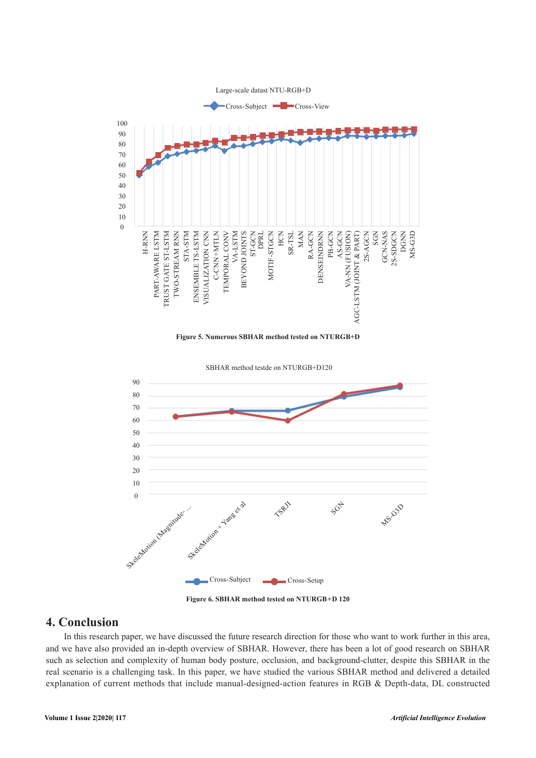

**Figure 5. Numerous SBHAR method tested on NTURGB+D** 



**Figure 6. SBHAR method tested on NTURGB+D 120** 

# **4. Conclusion**

In this research paper, we have discussed the future research direction for those who want to work further in this area, and we have also provided an in-depth overview of SBHAR. However, there has been a lot of good research on SBHAR such as selection and complexity of human body posture, occlusion, and background-clutter, despite this SBHAR in the real scenario is a challenging task. In this paper, we have studied the various SBHAR method and delivered a detailed explanation of current methods that include manual-designed-action features in RGB & Depth-data, DL constructed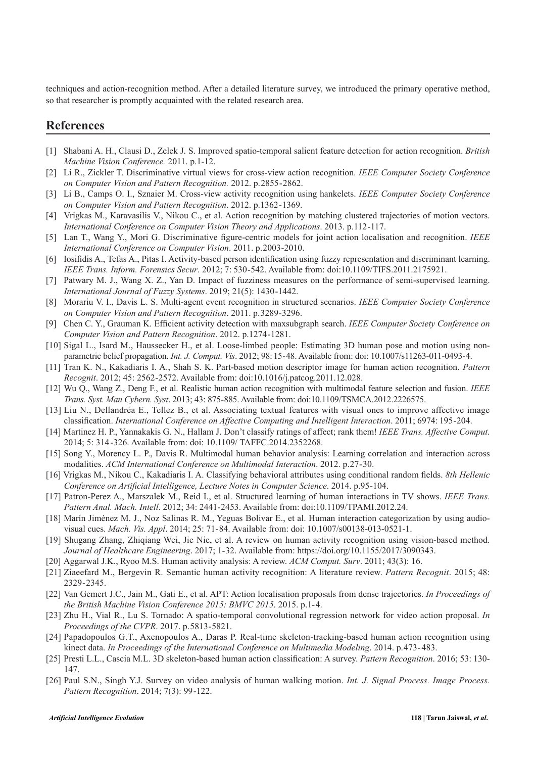techniques and action-recognition method. After a detailed literature survey, we introduced the primary operative method, so that researcher is promptly acquainted with the related research area.

## **References**

- [1] Shabani A. H., Clausi D., Zelek J. S. Improved spatio-temporal salient feature detection for action recognition. *British Machine Vision Conference.* 2011. p.1-12.
- [2] Li R., Zickler T. Discriminative virtual views for cross-view action recognition. *IEEE Computer Society Conference on Computer Vision and Pattern Recognition.* 2012. p.2855-2862.
- [3] Li B., Camps O. I., Sznaier M. Cross-view activity recognition using hankelets. *IEEE Computer Society Conference on Computer Vision and Pattern Recognition*. 2012. p.1362-1369.
- [4] Vrigkas M., Karavasilis V., Nikou C., et al. Action recognition by matching clustered trajectories of motion vectors. *International Conference on Computer Vision Theory and Applications*. 2013. p.112-117.
- [5] Lan T., Wang Y., Mori G. Discriminative figure-centric models for joint action localisation and recognition. *IEEE International Conference on Computer Vision*. 2011. p.2003-2010.
- [6] Iosifidis A., Tefas A., Pitas I. Activity-based person identification using fuzzy representation and discriminant learning. *IEEE Trans. Inform. Forensics Secur*. 2012; 7: 530-542. Available from: doi:10.1109/TIFS.2011.2175921.
- [7] Patwary M. J., Wang X. Z., Yan D. Impact of fuzziness measures on the performance of semi-supervised learning. *International Journal of Fuzzy Systems*. 2019; 21(5): 1430-1442.
- [8] Morariu V. I., Davis L. S. Multi-agent event recognition in structured scenarios. *IEEE Computer Society Conference on Computer Vision and Pattern Recognition*. 2011. p.3289-3296.
- [9] Chen C. Y., Grauman K. Efficient activity detection with maxsubgraph search. *IEEE Computer Society Conference on Computer Vision and Pattern Recognition*. 2012. p.1274-1281.
- [10] Sigal L., Isard M., Haussecker H., et al. Loose-limbed people: Estimating 3D human pose and motion using nonparametric belief propagation. *Int. J. Comput. Vis*. 2012; 98: 15-48. Available from: doi: 10.1007/s11263-011-0493-4.
- [11] Tran K. N., Kakadiaris I. A., Shah S. K. Part-based motion descriptor image for human action recognition. *Pattern Recognit*. 2012; 45: 2562-2572. Available from: doi:10.1016/j.patcog.2011.12.028.
- [12] Wu Q., Wang Z., Deng F., et al. Realistic human action recognition with multimodal feature selection and fusion. *IEEE Trans. Syst. Man Cybern. Syst*. 2013; 43: 875-885. Available from: doi:10.1109/TSMCA.2012.2226575.
- [13] Liu N., Dellandréa E., Tellez B., et al. Associating textual features with visual ones to improve affective image classification. *International Conference on Affective Computing and Intelligent Interaction*. 2011; 6974: 195-204.
- [14] Martinez H. P., Yannakakis G. N., Hallam J. Don't classify ratings of affect; rank them! *IEEE Trans. Affective Comput*. 2014; 5: 314-326. Available from: doi: 10.1109/ TAFFC.2014.2352268.
- [15] Song Y., Morency L. P., Davis R. Multimodal human behavior analysis: Learning correlation and interaction across modalities. *ACM International Conference on Multimodal Interaction*. 2012. p.27-30.
- [16] Vrigkas M., Nikou C., Kakadiaris I. A. Classifying behavioral attributes using conditional random fields. *8th Hellenic Conference on Artificial Intelligence, Lecture Notes in Computer Science*. 2014. p.95-104.
- [17] Patron-Perez A., Marszalek M., Reid I., et al. Structured learning of human interactions in TV shows. *IEEE Trans. Pattern Anal. Mach. Intell*. 2012; 34: 2441-2453. Available from: doi:10.1109/TPAMI.2012.24.
- [18] Marín Jiménez M. J., Noz Salinas R. M., Yeguas Bolivar E., et al. Human interaction categorization by using audiovisual cues. *Mach. Vis. Appl*. 2014; 25: 71-84. Available from: doi: 10.1007/s00138-013-0521-1.
- [19] Shugang Zhang, Zhiqiang Wei, Jie Nie, et al. A review on human activity recognition using vision-based method. *Journal of Healthcare Engineering*. 2017; 1-32. Available from:<https://doi.org/10.1155/2017/3090343>.
- [20] Aggarwal J.K., Ryoo M.S. Human activity analysis: A review. *ACM Comput. Surv*. 2011; 43(3): 16.
- [21] Ziaeefard M., Bergevin R. Semantic human activity recognition: A literature review. *Pattern Recognit*. 2015; 48: 2329-2345.
- [22] Van Gemert J.C., Jain M., Gati E., et al. APT: Action localisation proposals from dense trajectories. *In Proceedings of the British Machine Vision Conference 2015: BMVC 2015*. 2015. p.1-4.
- [23] Zhu H., Vial R., Lu S. Tornado: A spatio-temporal convolutional regression network for video action proposal. *In Proceedings of the CVPR*. 2017. p.5813-5821.
- [24] Papadopoulos G.T., Axenopoulos A., Daras P. Real-time skeleton-tracking-based human action recognition using kinect data. *In Proceedings of the International Conference on Multimedia Modeling*. 2014. p.473-483.
- [25] Presti L.L., Cascia M.L. 3D skeleton-based human action classification: A survey. *Pattern Recognition*. 2016; 53: 130- 147.
- [26] Paul S.N., Singh Y.J. Survey on video analysis of human walking motion. *Int. J. Signal Process. Image Process. Pattern Recognition*. 2014; 7(3): 99-122.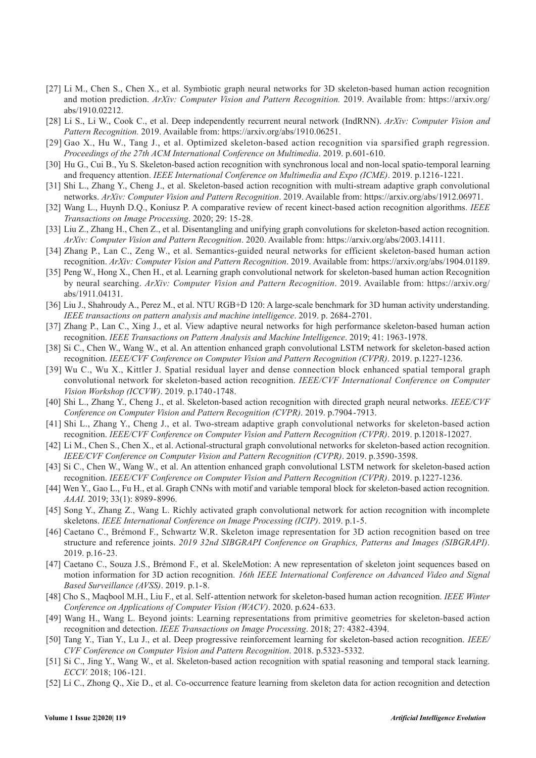- [27] Li M., Chen S., Chen X., et al. Symbiotic graph neural networks for 3D skeleton-based human action recognition and motion prediction. *ArXiv: Computer Vision and Pattern Recognition.* 2019. Available from: https://arxiv.org/ abs/1910.02212.
- [28] Li S., Li W., Cook C., et al. Deep independently recurrent neural network (IndRNN). *ArXiv: Computer Vision and Pattern Recognition.* 2019. Available from: https://arxiv.org/abs/1910.06251.
- [29] Gao X., Hu W., Tang J., et al. Optimized skeleton-based action recognition via sparsified graph regression. *Proceedings of the 27th ACM International Conference on Multimedia*. 2019. p.601-610.
- [30] Hu G., Cui B., Yu S. Skeleton-based action recognition with synchronous local and non-local spatio-temporal learning and frequency attention. *IEEE International Conference on Multimedia and Expo (ICME)*. 2019. p.1216-1221.
- [31] Shi L., Zhang Y., Cheng J., et al. Skeleton-based action recognition with multi-stream adaptive graph convolutional networks. *ArXiv: Computer Vision and Pattern Recognition*. 2019. Available from: https://arxiv.org/abs/1912.06971.
- [32] Wang L., Huynh D.Q., Koniusz P. A comparative review of recent kinect-based action recognition algorithms. *IEEE Transactions on Image Processing*. 2020; 29: 15-28.
- [33] Liu Z., Zhang H., Chen Z., et al. Disentangling and unifying graph convolutions for skeleton-based action recognition. *ArXiv: Computer Vision and Pattern Recognition*. 2020. Available from: https://arxiv.org/abs/2003.14111.
- [34] Zhang P., Lan C., Zeng W., et al. Semantics-guided neural networks for efficient skeleton-based human action recognition. *ArXiv: Computer Vision and Pattern Recognition*. 2019. Available from: https://arxiv.org/abs/1904.01189.
- [35] Peng W., Hong X., Chen H., et al. Learning graph convolutional network for skeleton-based human action Recognition by neural searching. *ArXiv: Computer Vision and Pattern Recognition*. 2019. Available from: https://arxiv.org/ abs/1911.04131.
- [36] Liu J., Shahroudy A., Perez M., et al. NTU RGB+D 120: A large-scale benchmark for 3D human activity understanding. *IEEE transactions on pattern analysis and machine intelligence*. 2019. p. 2684-2701.
- [37] Zhang P., Lan C., Xing J., et al. View adaptive neural networks for high performance skeleton-based human action recognition. *IEEE Transactions on Pattern Analysis and Machine Intelligence*. 2019; 41: 1963-1978.
- [38] Si C., Chen W., Wang W., et al. An attention enhanced graph convolutional LSTM network for skeleton-based action recognition. *IEEE/CVF Conference on Computer Vision and Pattern Recognition (CVPR)*. 2019. p.1227-1236.
- [39] Wu C., Wu X., Kittler J. Spatial residual layer and dense connection block enhanced spatial temporal graph convolutional network for skeleton-based action recognition. *IEEE/CVF International Conference on Computer Vision Workshop (ICCVW)*. 2019. p.1740-1748.
- [40] Shi L., Zhang Y., Cheng J., et al. Skeleton-based action recognition with directed graph neural networks. *IEEE/CVF Conference on Computer Vision and Pattern Recognition (CVPR)*. 2019. p.7904-7913.
- [41] Shi L., Zhang Y., Cheng J., et al. Two-stream adaptive graph convolutional networks for skeleton-based action recognition. *IEEE/CVF Conference on Computer Vision and Pattern Recognition (CVPR)*. 2019. p.12018-12027.
- [42] Li M., Chen S., Chen X., et al. Actional-structural graph convolutional networks for skeleton-based action recognition. *IEEE/CVF Conference on Computer Vision and Pattern Recognition (CVPR)*. 2019. p.3590-3598.
- [43] Si C., Chen W., Wang W., et al. An attention enhanced graph convolutional LSTM network for skeleton-based action recognition. *IEEE/CVF Conference on Computer Vision and Pattern Recognition (CVPR)*. 2019. p.1227-1236.
- [44] Wen Y., Gao L., Fu H., et al. Graph CNNs with motif and variable temporal block for skeleton-based action recognition. *AAAI.* 2019; 33(1): 8989-8996.
- [45] Song Y., Zhang Z., Wang L. Richly activated graph convolutional network for action recognition with incomplete skeletons. *IEEE International Conference on Image Processing (ICIP)*. 2019. p.1-5.
- [46] Caetano C., Brémond F., Schwartz W.R. Skeleton image representation for 3D action recognition based on tree structure and reference joints. *2019 32nd SIBGRAPI Conference on Graphics, Patterns and Images (SIBGRAPI)*. 2019. p.16-23.
- [47] Caetano C., Souza J.S., Brémond F., et al. SkeleMotion: A new representation of skeleton joint sequences based on motion information for 3D action recognition. *16th IEEE International Conference on Advanced Video and Signal Based Surveillance (AVSS)*. 2019. p.1-8.
- [48] Cho S., Maqbool M.H., Liu F., et al. Self-attention network for skeleton-based human action recognition. *IEEE Winter Conference on Applications of Computer Vision (WACV)*. 2020. p.624-633.
- [49] Wang H., Wang L. Beyond joints: Learning representations from primitive geometries for skeleton-based action recognition and detection. *IEEE Transactions on Image Processing*. 2018; 27: 4382-4394.
- [50] Tang Y., Tian Y., Lu J., et al. Deep progressive reinforcement learning for skeleton-based action recognition. *IEEE/ CVF Conference on Computer Vision and Pattern Recognition*. 2018. p.5323-5332.
- [51] Si C., Jing Y., Wang W., et al. Skeleton-based action recognition with spatial reasoning and temporal stack learning. *ECCV.* 2018; 106-121.
- [52] Li C., Zhong Q., Xie D., et al. Co-occurrence feature learning from skeleton data for action recognition and detection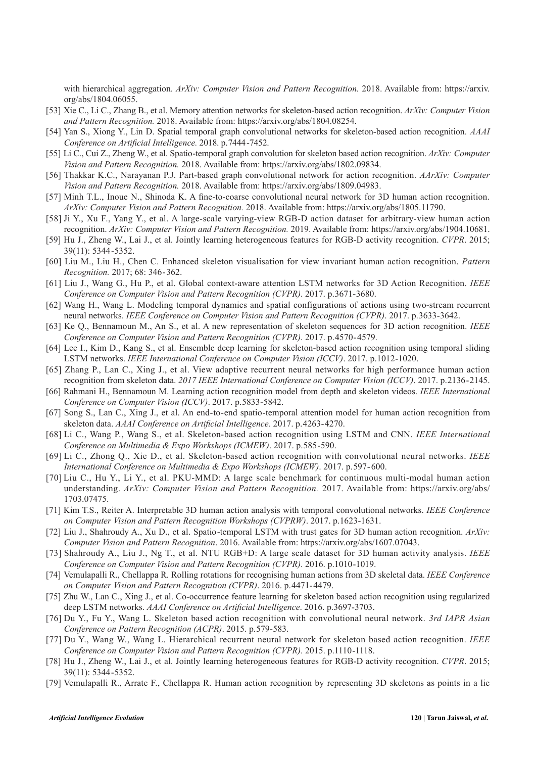with hierarchical aggregation. *ArXiv: Computer Vision and Pattern Recognition.* 2018. Available from: https://arxiv. org/abs/1804.06055.

- [53] Xie C., Li C., Zhang B., et al. Memory attention networks for skeleton-based action recognition. *ArXiv: Computer Vision and Pattern Recognition.* 2018. Available from: https://arxiv.org/abs/1804.08254.
- [54] Yan S., Xiong Y., Lin D. Spatial temporal graph convolutional networks for skeleton-based action recognition. *AAAI Conference on Artificial Intelligence.* 2018. p.7444-7452.
- [55] Li C., Cui Z., Zheng W., et al. Spatio-temporal graph convolution for skeleton based action recognition. *ArXiv: Computer Vision and Pattern Recognition.* 2018. Available from: https://arxiv.org/abs/1802.09834.
- [56] Thakkar K.C., Narayanan P.J. Part-based graph convolutional network for action recognition. *AArXiv: Computer Vision and Pattern Recognition.* 2018. Available from: https://arxiv.org/abs/1809.04983.
- [57] Minh T.L., Inoue N., Shinoda K. A fine-to-coarse convolutional neural network for 3D human action recognition. *ArXiv: Computer Vision and Pattern Recognition.* 2018. Available from: https://arxiv.org/abs/1805.11790.
- [58] Ji Y., Xu F., Yang Y., et al. A large-scale varying-view RGB-D action dataset for arbitrary-view human action recognition. *ArXiv: Computer Vision and Pattern Recognition.* 2019. Available from: https://arxiv.org/abs/1904.10681.
- [59] Hu J., Zheng W., Lai J., et al. Jointly learning heterogeneous features for RGB-D activity recognition. *CVPR*. 2015; 39(11): 5344-5352.
- [60] Liu M., Liu H., Chen C. Enhanced skeleton visualisation for view invariant human action recognition. *Pattern Recognition.* 2017; 68: 346-362.
- [61] Liu J., Wang G., Hu P., et al. Global context-aware attention LSTM networks for 3D Action Recognition. *IEEE Conference on Computer Vision and Pattern Recognition (CVPR)*. 2017. p.3671-3680.
- [62] Wang H., Wang L. Modeling temporal dynamics and spatial configurations of actions using two-stream recurrent neural networks. *IEEE Conference on Computer Vision and Pattern Recognition (CVPR)*. 2017. p.3633-3642.
- [63] Ke Q., Bennamoun M., An S., et al. A new representation of skeleton sequences for 3D action recognition. *IEEE Conference on Computer Vision and Pattern Recognition (CVPR)*. 2017. p.4570-4579.
- [64] Lee I., Kim D., Kang S., et al. Ensemble deep learning for skeleton-based action recognition using temporal sliding LSTM networks. *IEEE International Conference on Computer Vision (ICCV)*. 2017. p.1012-1020.
- [65] Zhang P., Lan C., Xing J., et al. View adaptive recurrent neural networks for high performance human action recognition from skeleton data. *2017 IEEE International Conference on Computer Vision (ICCV)*. 2017. p.2136-2145.
- [66] Rahmani H., Bennamoun M. Learning action recognition model from depth and skeleton videos. *IEEE International Conference on Computer Vision (ICCV)*. 2017. p.5833-5842.
- [67] Song S., Lan C., Xing J., et al. An end-to-end spatio-temporal attention model for human action recognition from skeleton data. *AAAI Conference on Artificial Intelligence*. 2017. p.4263-4270.
- [68] Li C., Wang P., Wang S., et al. Skeleton-based action recognition using LSTM and CNN. *IEEE International Conference on Multimedia & Expo Workshops (ICMEW)*. 2017. p.585-590.
- [69] Li C., Zhong Q., Xie D., et al. Skeleton-based action recognition with convolutional neural networks. *IEEE International Conference on Multimedia & Expo Workshops (ICMEW)*. 2017. p.597-600.
- [70] Liu C., Hu Y., Li Y., et al. PKU-MMD: A large scale benchmark for continuous multi-modal human action understanding. *ArXiv: Computer Vision and Pattern Recognition.* 2017. Available from: https://arxiv.org/abs/ 1703.07475.
- [71] Kim T.S., Reiter A. Interpretable 3D human action analysis with temporal convolutional networks. *IEEE Conference on Computer Vision and Pattern Recognition Workshops (CVPRW)*. 2017. p.1623-1631.
- [72] Liu J., Shahroudy A., Xu D., et al. Spatio-temporal LSTM with trust gates for 3D human action recognition. *ArXiv: Computer Vision and Pattern Recognition*. 2016. Available from: https://arxiv.org/abs/1607.07043.
- [73] Shahroudy A., Liu J., Ng T., et al. NTU RGB+D: A large scale dataset for 3D human activity analysis. *IEEE Conference on Computer Vision and Pattern Recognition (CVPR)*. 2016. p.1010-1019.
- [74] Vemulapalli R., Chellappa R. Rolling rotations for recognising human actions from 3D skeletal data. *IEEE Conference on Computer Vision and Pattern Recognition (CVPR)*. 2016. p.4471-4479.
- [75] Zhu W., Lan C., Xing J., et al. Co-occurrence feature learning for skeleton based action recognition using regularized deep LSTM networks. *AAAI Conference on Artificial Intelligence*. 2016. p.3697-3703.
- [76] Du Y., Fu Y., Wang L. Skeleton based action recognition with convolutional neural network. *3rd IAPR Asian Conference on Pattern Recognition (ACPR)*. 2015. p.579-583.
- [77] Du Y., Wang W., Wang L. Hierarchical recurrent neural network for skeleton based action recognition. *IEEE Conference on Computer Vision and Pattern Recognition (CVPR)*. 2015. p.1110-1118.
- [78] Hu J., Zheng W., Lai J., et al. Jointly learning heterogeneous features for RGB-D activity recognition. *CVPR*. 2015; 39(11): 5344-5352.
- [79] Vemulapalli R., Arrate F., Chellappa R. Human action recognition by representing 3D skeletons as points in a lie